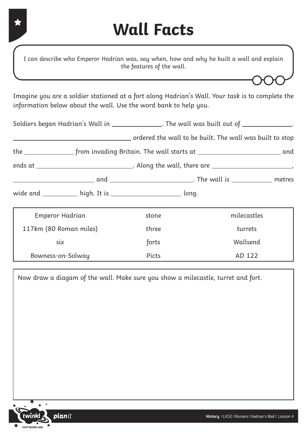### **Wall Facts**

I can describe who Emperor Hadrian was, say when, how and why he built a wall and explain the features of the wall.

Imagine you are a soldier stationed at a fort along Hadrian's Wall. Your task is to complete the information below about the wall. Use the word bank to help you.

|                                                                 | Soldiers began Hadrian's Wall in _______________. The wall was built out of ______________. |             |  |
|-----------------------------------------------------------------|---------------------------------------------------------------------------------------------|-------------|--|
|                                                                 |                                                                                             |             |  |
|                                                                 |                                                                                             |             |  |
|                                                                 |                                                                                             |             |  |
|                                                                 |                                                                                             |             |  |
| wide and ___________ high. It is ________________________ long. |                                                                                             |             |  |
| Emperor Hadrian                                                 | stone                                                                                       | milecastles |  |
| 117km (80 Roman miles)                                          | three                                                                                       | turrets     |  |
| six                                                             | forts                                                                                       | Wallsend    |  |
| Bowness-on-Solway                                               | <b>Picts</b>                                                                                | AD 122      |  |

Now draw a diagam of the wall. Make sure you show a milecastle, turret and fort.

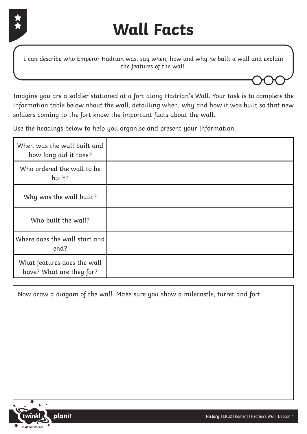

I can describe who Emperor Hadrian was, say when, how and why he built a wall and explain the features of the wall.

Imagine you are a soldier stationed at a fort along Hadrian's Wall. Your task is to complete the information table below about the wall, detailling when, why and how it was built so that new soldiers coming to the fort know the important facts about the wall.

Use the headings below to help you organise and present your information.

| When was the wall built and<br>how long did it take?    |  |
|---------------------------------------------------------|--|
| Who ordered the wall to be<br>built?                    |  |
| Why was the wall built?                                 |  |
| Who built the wall?                                     |  |
| Where does the wall start and<br>end?                   |  |
| What features does the wall<br>have? What are they for? |  |

Now draw a diagam of the wall. Make sure you show a milecastle, turret and fort.

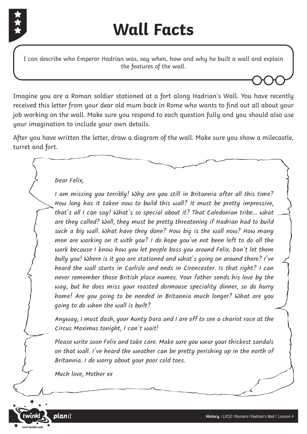

# **Wall Facts**

I can describe who Emperor Hadrian was, say when, how and why he built a wall and explain the features of the wall.

Imagine you are a Roman soldier stationed at a fort along Hadrian's Wall. You have recently received this letter from your dear old mum back in Rome who wants to find out all about your job working on the wall. Make sure you respond to each question fully and you should also use your imagination to include your own details.

After you have written the letter, draw a diagram of the wall. Make sure you show a milecastle, turret and fort.

#### Dear Felix,

I am missing you terribly! Why are you still in Britannia after all this time? How long has it taken now to build this wall? It must be pretty impressive, that's all I can say! What's so special about it? That Caledonian tribe... what are they called? Well, they must be pretty threatening if Hadrian had to build such a big wall. What have they done? How big is the wall now? How many men are working on it with you? I do hope you've not been left to do all the work because I know how you let people boss you around Felix. Don't let them bully you! Where is it you are stationed and what's going on around there? I've heard the wall starts in Carlisle and ends in Cirencester. Is that right? I can never remember those British place names. Your father sends his love by the way, but he does miss your roasted dormouse speciality dinner, so do hurry home! Are you going to be needed in Britannia much longer? What are you going to do when the wall is built?

Anyway, I must dash, your Aunty Dora and I are off to see a chariot race at the Circus Maximus tonight, I can't wait!

Please write soon Felix and take care. Make sure you wear your thickest sandals on that wall. I've heard the weather can be pretty perishing up in the north of Britannia. I do worry about your poor cold toes.

Much love, Mother xx

planit

**twinkl.com**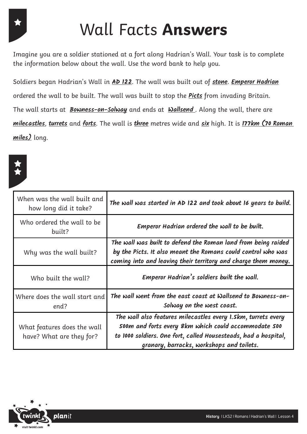# Wall Facts **Answers**

Imagine you are a soldier stationed at a fort along Hadrian's Wall. Your task is to complete the information below about the wall. Use the word bank to help you.

Soldiers began Hadrian's Wall in **AD 122**. The wall was built out of **stone**. **Emperor Hadrian** ordered the wall to be built. The wall was built to stop the **Picts** from invading Britain. The wall starts at **Bowness-on-Solway** and ends at **Wallsend** . Along the wall, there are **milecastles**, **turrets** and **forts**. The wall is **three** metres wide and **six** high. It is **177km (70 Roman miles)** long.



| When was the wall built and<br>how long did it take?    | The wall was started in AD 122 and took about 16 years to build.                                                                                                                                                                       |
|---------------------------------------------------------|----------------------------------------------------------------------------------------------------------------------------------------------------------------------------------------------------------------------------------------|
| Who ordered the wall to be<br>built?                    | Emperor Hadrian ordered the wall to be built.                                                                                                                                                                                          |
| Why was the wall built?                                 | The wall was built to defend the Roman land from being raided<br>by the Picts. It also meant the Romans could control who was<br>coming into and leaving their territory and charge them money.                                        |
| Who built the wall?                                     | Emperor Hadrian's soldiers built the wall.                                                                                                                                                                                             |
| Where does the wall start and<br>end?                   | The wall went from the east coast at Wallsend to Bowness-on-<br>Solway on the west coast.                                                                                                                                              |
| What features does the wall<br>have? What are they for? | The wall also features milecastles every I. Skm, turrets every<br>500m and forts every 8km which could accommodate 500<br>to 1000 soldiers. One fort, called Housesteads, had a hospital,<br>granary, barracks, workshops and toilets. |